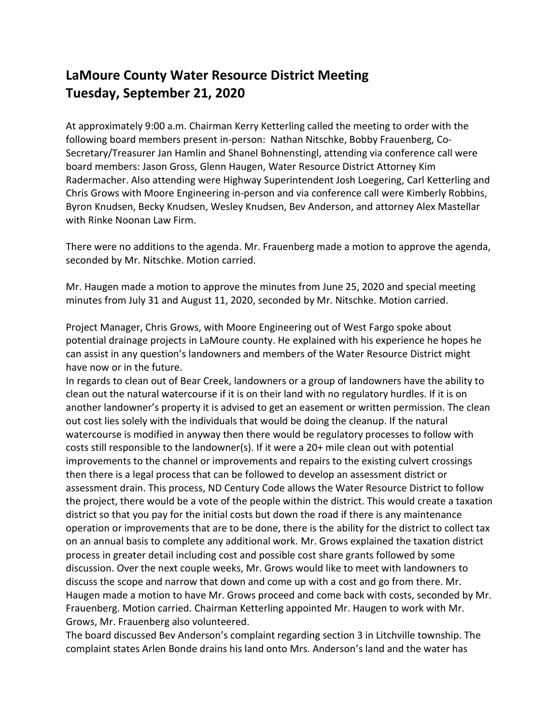## **LaMoure County Water Resource District Meeting Tuesday, September 21, 2020**

At approximately 9:00 a.m. Chairman Kerry Ketterling called the meeting to order with the following board members present in-person: Nathan Nitschke, Bobby Frauenberg, Co-Secretary/Treasurer Jan Hamlin and Shanel Bohnenstingl, attending via conference call were board members: Jason Gross, Glenn Haugen, Water Resource District Attorney Kim Radermacher. Also attending were Highway Superintendent Josh Loegering, Carl Ketterling and Chris Grows with Moore Engineering in-person and via conference call were Kimberly Robbins, Byron Knudsen, Becky Knudsen, Wesley Knudsen, Bev Anderson, and attorney Alex Mastellar with Rinke Noonan Law Firm.

There were no additions to the agenda. Mr. Frauenberg made a motion to approve the agenda, seconded by Mr. Nitschke. Motion carried.

Mr. Haugen made a motion to approve the minutes from June 25, 2020 and special meeting minutes from July 31 and August 11, 2020, seconded by Mr. Nitschke. Motion carried.

Project Manager, Chris Grows, with Moore Engineering out of West Fargo spoke about potential drainage projects in LaMoure county. He explained with his experience he hopes he can assist in any question's landowners and members of the Water Resource District might have now or in the future.

In regards to clean out of Bear Creek, landowners or a group of landowners have the ability to clean out the natural watercourse if it is on their land with no regulatory hurdles. If it is on another landowner's property it is advised to get an easement or written permission. The clean out cost lies solely with the individuals that would be doing the cleanup. If the natural watercourse is modified in anyway then there would be regulatory processes to follow with costs still responsible to the landowner(s). If it were a 20+ mile clean out with potential improvements to the channel or improvements and repairs to the existing culvert crossings then there is a legal process that can be followed to develop an assessment district or assessment drain. This process, ND Century Code allows the Water Resource District to follow the project, there would be a vote of the people within the district. This would create a taxation district so that you pay for the initial costs but down the road if there is any maintenance operation or improvements that are to be done, there is the ability for the district to collect tax on an annual basis to complete any additional work. Mr. Grows explained the taxation district process in greater detail including cost and possible cost share grants followed by some discussion. Over the next couple weeks, Mr. Grows would like to meet with landowners to discuss the scope and narrow that down and come up with a cost and go from there. Mr. Haugen made a motion to have Mr. Grows proceed and come back with costs, seconded by Mr. Frauenberg. Motion carried. Chairman Ketterling appointed Mr. Haugen to work with Mr. Grows, Mr. Frauenberg also volunteered.

The board discussed Bev Anderson's complaint regarding section 3 in Litchville township. The complaint states Arlen Bonde drains his land onto Mrs. Anderson's land and the water has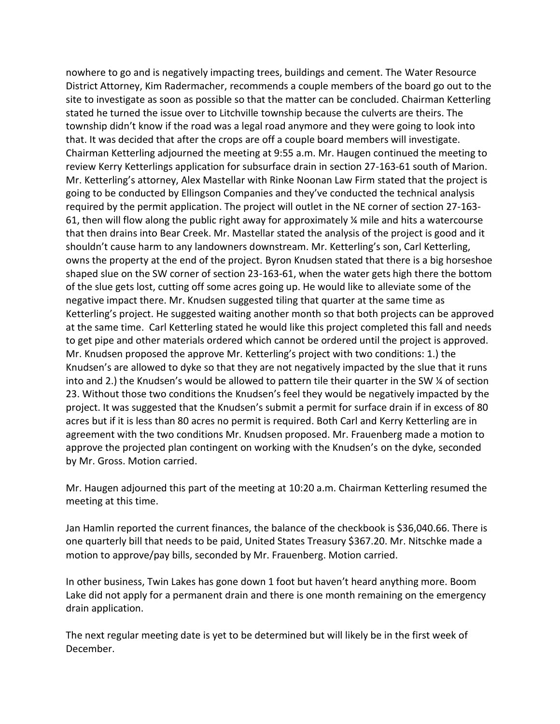nowhere to go and is negatively impacting trees, buildings and cement. The Water Resource District Attorney, Kim Radermacher, recommends a couple members of the board go out to the site to investigate as soon as possible so that the matter can be concluded. Chairman Ketterling stated he turned the issue over to Litchville township because the culverts are theirs. The township didn't know if the road was a legal road anymore and they were going to look into that. It was decided that after the crops are off a couple board members will investigate. Chairman Ketterling adjourned the meeting at 9:55 a.m. Mr. Haugen continued the meeting to review Kerry Ketterlings application for subsurface drain in section 27-163-61 south of Marion. Mr. Ketterling's attorney, Alex Mastellar with Rinke Noonan Law Firm stated that the project is going to be conducted by Ellingson Companies and they've conducted the technical analysis required by the permit application. The project will outlet in the NE corner of section 27-163- 61, then will flow along the public right away for approximately  $\frac{1}{4}$  mile and hits a watercourse that then drains into Bear Creek. Mr. Mastellar stated the analysis of the project is good and it shouldn't cause harm to any landowners downstream. Mr. Ketterling's son, Carl Ketterling, owns the property at the end of the project. Byron Knudsen stated that there is a big horseshoe shaped slue on the SW corner of section 23-163-61, when the water gets high there the bottom of the slue gets lost, cutting off some acres going up. He would like to alleviate some of the negative impact there. Mr. Knudsen suggested tiling that quarter at the same time as Ketterling's project. He suggested waiting another month so that both projects can be approved at the same time. Carl Ketterling stated he would like this project completed this fall and needs to get pipe and other materials ordered which cannot be ordered until the project is approved. Mr. Knudsen proposed the approve Mr. Ketterling's project with two conditions: 1.) the Knudsen's are allowed to dyke so that they are not negatively impacted by the slue that it runs into and 2.) the Knudsen's would be allowed to pattern tile their quarter in the SW ¼ of section 23. Without those two conditions the Knudsen's feel they would be negatively impacted by the project. It was suggested that the Knudsen's submit a permit for surface drain if in excess of 80 acres but if it is less than 80 acres no permit is required. Both Carl and Kerry Ketterling are in agreement with the two conditions Mr. Knudsen proposed. Mr. Frauenberg made a motion to approve the projected plan contingent on working with the Knudsen's on the dyke, seconded by Mr. Gross. Motion carried.

Mr. Haugen adjourned this part of the meeting at 10:20 a.m. Chairman Ketterling resumed the meeting at this time.

Jan Hamlin reported the current finances, the balance of the checkbook is \$36,040.66. There is one quarterly bill that needs to be paid, United States Treasury \$367.20. Mr. Nitschke made a motion to approve/pay bills, seconded by Mr. Frauenberg. Motion carried.

In other business, Twin Lakes has gone down 1 foot but haven't heard anything more. Boom Lake did not apply for a permanent drain and there is one month remaining on the emergency drain application.

The next regular meeting date is yet to be determined but will likely be in the first week of December.